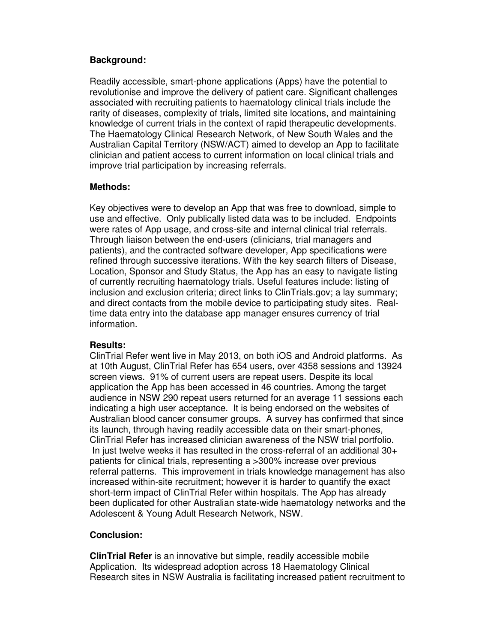## **Background:**

Readily accessible, smart-phone applications (Apps) have the potential to revolutionise and improve the delivery of patient care. Significant challenges associated with recruiting patients to haematology clinical trials include the rarity of diseases, complexity of trials, limited site locations, and maintaining knowledge of current trials in the context of rapid therapeutic developments. The Haematology Clinical Research Network, of New South Wales and the Australian Capital Territory (NSW/ACT) aimed to develop an App to facilitate clinician and patient access to current information on local clinical trials and improve trial participation by increasing referrals.

## **Methods:**

Key objectives were to develop an App that was free to download, simple to use and effective. Only publically listed data was to be included. Endpoints were rates of App usage, and cross-site and internal clinical trial referrals. Through liaison between the end-users (clinicians, trial managers and patients), and the contracted software developer, App specifications were refined through successive iterations. With the key search filters of Disease, Location, Sponsor and Study Status, the App has an easy to navigate listing of currently recruiting haematology trials. Useful features include: listing of inclusion and exclusion criteria; direct links to ClinTrials.gov; a lay summary; and direct contacts from the mobile device to participating study sites. Realtime data entry into the database app manager ensures currency of trial information.

## **Results:**

ClinTrial Refer went live in May 2013, on both iOS and Android platforms. As at 10th August, ClinTrial Refer has 654 users, over 4358 sessions and 13924 screen views. 91% of current users are repeat users. Despite its local application the App has been accessed in 46 countries. Among the target audience in NSW 290 repeat users returned for an average 11 sessions each indicating a high user acceptance. It is being endorsed on the websites of Australian blood cancer consumer groups. A survey has confirmed that since its launch, through having readily accessible data on their smart-phones, ClinTrial Refer has increased clinician awareness of the NSW trial portfolio. In just twelve weeks it has resulted in the cross-referral of an additional 30+ patients for clinical trials, representing a >300% increase over previous referral patterns. This improvement in trials knowledge management has also increased within-site recruitment; however it is harder to quantify the exact short-term impact of ClinTrial Refer within hospitals. The App has already been duplicated for other Australian state-wide haematology networks and the Adolescent & Young Adult Research Network, NSW.

## **Conclusion:**

**ClinTrial Refer** is an innovative but simple, readily accessible mobile Application. Its widespread adoption across 18 Haematology Clinical Research sites in NSW Australia is facilitating increased patient recruitment to